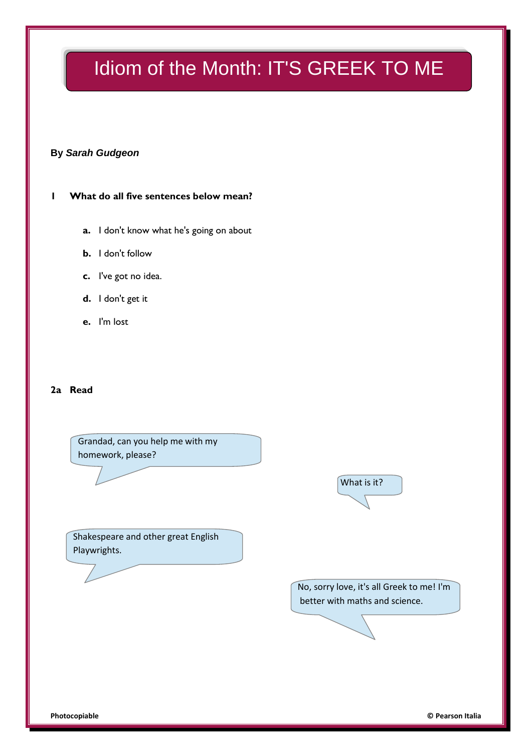# Idiom of the Month: IT'S GREEK TO ME

### **By** *Sarah Gudgeon*

### **1 What do all five sentences below mean?**

- **a.** I don't know what he's going on about
- **b.** I don't follow
- **c.** I've got no idea.
- **d.** I don't get it
- **e.** I'm lost

### **2a Read**

Grandad, can you help me with my homework, please?



Shakespeare and other great English Playwrights.

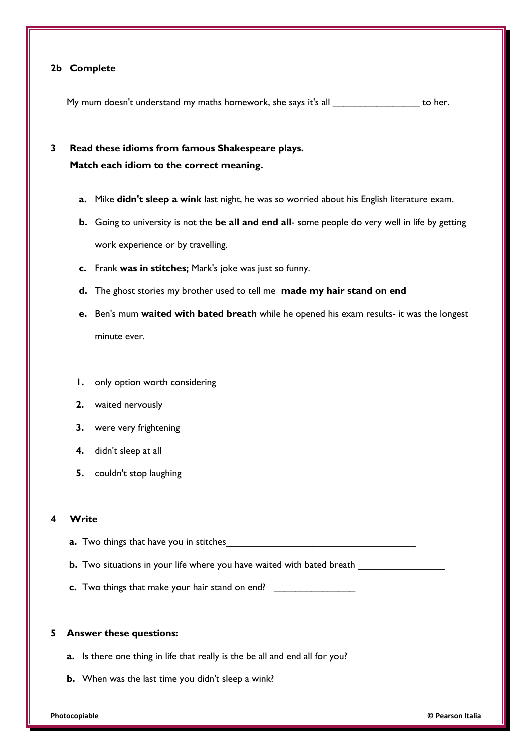### **2b Complete**

My mum doesn't understand my maths homework, she says it's all the metal of her.

### **3 Read these idioms from famous Shakespeare plays. Match each idiom to the correct meaning.**

- **a.** Mike **didn't sleep a wink** last night, he was so worried about his English literature exam.
- **b.** Going to university is not the **be all and end all** some people do very well in life by getting work experience or by travelling.
- **c.** Frank **was in stitches;** Mark's joke was just so funny.
- **d.** The ghost stories my brother used to tell me **made my hair stand on end**
- **e.** Ben's mum **waited with bated breath** while he opened his exam results- it was the longest minute ever.
- **1.** only option worth considering
- **2.** waited nervously
- **3.** were very frightening
- **4.** didn't sleep at all
- **5.** couldn't stop laughing

#### **4 Write**

- **a.** Two things that have you in stitches
- **b.** Two situations in your life where you have waited with bated breath
- **c.** Two things that make your hair stand on end? \_\_\_\_\_\_\_\_\_\_\_\_\_\_\_

### **5 Answer these questions:**

- **a.** Is there one thing in life that really is the be all and end all for you?
- **b.** When was the last time you didn't sleep a wink?